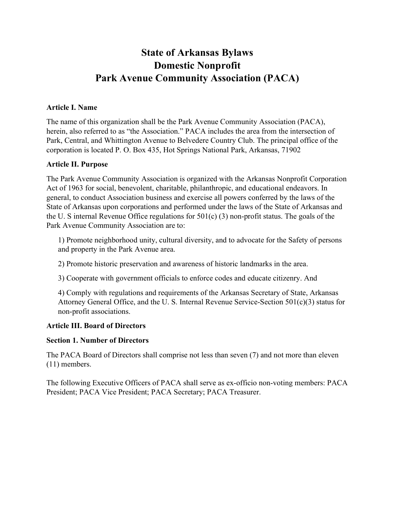# State of Arkansas Bylaws Domestic Nonprofit Park Avenue Community Association (PACA)

#### Article I. Name

The name of this organization shall be the Park Avenue Community Association (PACA), herein, also referred to as "the Association." PACA includes the area from the intersection of Park, Central, and Whittington Avenue to Belvedere Country Club. The principal office of the corporation is located P. O. Box 435, Hot Springs National Park, Arkansas, 71902

#### Article II. Purpose

The Park Avenue Community Association is organized with the Arkansas Nonprofit Corporation Act of 1963 for social, benevolent, charitable, philanthropic, and educational endeavors. In general, to conduct Association business and exercise all powers conferred by the laws of the State of Arkansas upon corporations and performed under the laws of the State of Arkansas and the U. S internal Revenue Office regulations for 501(c) (3) non-profit status. The goals of the Park Avenue Community Association are to:

1) Promote neighborhood unity, cultural diversity, and to advocate for the Safety of persons and property in the Park Avenue area.

2) Promote historic preservation and awareness of historic landmarks in the area.

3) Cooperate with government officials to enforce codes and educate citizenry. And

4) Comply with regulations and requirements of the Arkansas Secretary of State, Arkansas Attorney General Office, and the U. S. Internal Revenue Service-Section 501(c)(3) status for non-profit associations.

## Article III. Board of Directors

#### Section 1. Number of Directors

The PACA Board of Directors shall comprise not less than seven (7) and not more than eleven (11) members.

The following Executive Officers of PACA shall serve as ex-officio non-voting members: PACA President; PACA Vice President; PACA Secretary; PACA Treasurer.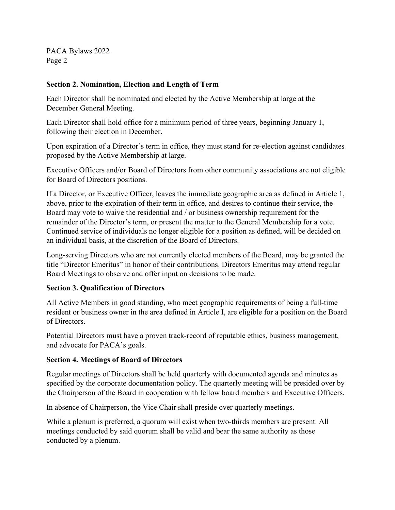#### Section 2. Nomination, Election and Length of Term

Each Director shall be nominated and elected by the Active Membership at large at the December General Meeting.

Each Director shall hold office for a minimum period of three years, beginning January 1, following their election in December.

Upon expiration of a Director's term in office, they must stand for re-election against candidates proposed by the Active Membership at large.

Executive Officers and/or Board of Directors from other community associations are not eligible for Board of Directors positions.

If a Director, or Executive Officer, leaves the immediate geographic area as defined in Article 1, above, prior to the expiration of their term in office, and desires to continue their service, the Board may vote to waive the residential and / or business ownership requirement for the remainder of the Director's term, or present the matter to the General Membership for a vote. Continued service of individuals no longer eligible for a position as defined, will be decided on an individual basis, at the discretion of the Board of Directors.

Long-serving Directors who are not currently elected members of the Board, may be granted the title "Director Emeritus" in honor of their contributions. Directors Emeritus may attend regular Board Meetings to observe and offer input on decisions to be made.

## Section 3. Qualification of Directors

All Active Members in good standing, who meet geographic requirements of being a full-time resident or business owner in the area defined in Article I, are eligible for a position on the Board of Directors.

Potential Directors must have a proven track-record of reputable ethics, business management, and advocate for PACA's goals.

#### Section 4. Meetings of Board of Directors

Regular meetings of Directors shall be held quarterly with documented agenda and minutes as specified by the corporate documentation policy. The quarterly meeting will be presided over by the Chairperson of the Board in cooperation with fellow board members and Executive Officers.

In absence of Chairperson, the Vice Chair shall preside over quarterly meetings.

While a plenum is preferred, a quorum will exist when two-thirds members are present. All meetings conducted by said quorum shall be valid and bear the same authority as those conducted by a plenum.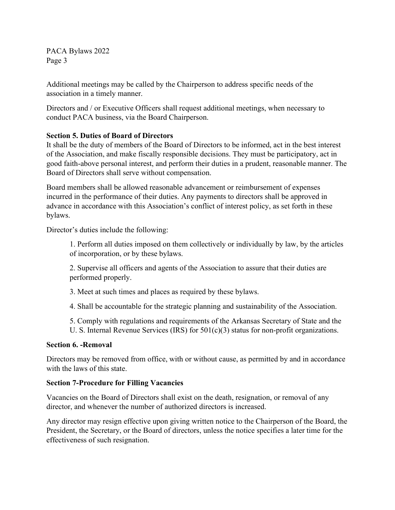Additional meetings may be called by the Chairperson to address specific needs of the association in a timely manner.

Directors and / or Executive Officers shall request additional meetings, when necessary to conduct PACA business, via the Board Chairperson.

## Section 5. Duties of Board of Directors

It shall be the duty of members of the Board of Directors to be informed, act in the best interest of the Association, and make fiscally responsible decisions. They must be participatory, act in good faith-above personal interest, and perform their duties in a prudent, reasonable manner. The Board of Directors shall serve without compensation.

Board members shall be allowed reasonable advancement or reimbursement of expenses incurred in the performance of their duties. Any payments to directors shall be approved in advance in accordance with this Association's conflict of interest policy, as set forth in these bylaws.

Director's duties include the following:

1. Perform all duties imposed on them collectively or individually by law, by the articles of incorporation, or by these bylaws.

2. Supervise all officers and agents of the Association to assure that their duties are performed properly.

3. Meet at such times and places as required by these bylaws.

4. Shall be accountable for the strategic planning and sustainability of the Association.

5. Comply with regulations and requirements of the Arkansas Secretary of State and the U. S. Internal Revenue Services (IRS) for  $501(c)(3)$  status for non-profit organizations.

## Section 6. -Removal

Directors may be removed from office, with or without cause, as permitted by and in accordance with the laws of this state.

## Section 7-Procedure for Filling Vacancies

Vacancies on the Board of Directors shall exist on the death, resignation, or removal of any director, and whenever the number of authorized directors is increased.

Any director may resign effective upon giving written notice to the Chairperson of the Board, the President, the Secretary, or the Board of directors, unless the notice specifies a later time for the effectiveness of such resignation.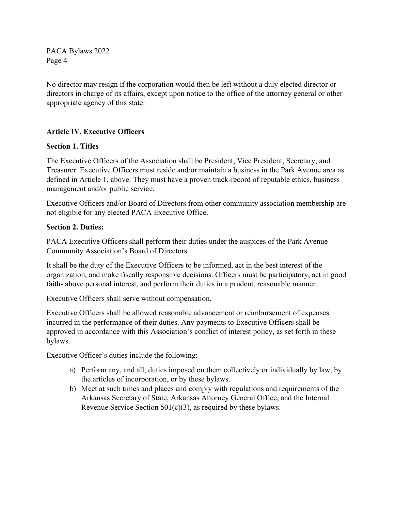No director may resign if the corporation would then be left without a duly elected director or directors in charge of its affairs, except upon notice to the office of the attorney general or other appropriate agency of this state.

## Article IV. Executive Officers

#### Section 1. Titles

The Executive Officers of the Association shall be President, Vice President, Secretary, and Treasurer. Executive Officers must reside and/or maintain a business in the Park Avenue area as defined in Article 1, above. They must have a proven track-record of reputable ethics, business management and/or public service.

Executive Officers and/or Board of Directors from other community association membership are not eligible for any elected PACA Executive Office.

#### Section 2. Duties:

PACA Executive Officers shall perform their duties under the auspices of the Park Avenue Community Association's Board of Directors.

It shall be the duty of the Executive Officers to be informed, act in the best interest of the organization, and make fiscally responsible decisions. Officers must be participatory, act in good faith- above personal interest, and perform their duties in a prudent, reasonable manner.

Executive Officers shall serve without compensation.

Executive Officers shall be allowed reasonable advancement or reimbursement of expenses incurred in the performance of their duties. Any payments to Executive Officers shall be approved in accordance with this Association's conflict of interest policy, as set forth in these bylaws.

Executive Officer's duties include the following:

- a) Perform any, and all, duties imposed on them collectively or individually by law, by the articles of incorporation, or by these bylaws.
- b) Meet at such times and places and comply with regulations and requirements of the Arkansas Secretary of State, Arkansas Attorney General Office, and the Internal Revenue Service Section  $501(c)(3)$ , as required by these bylaws.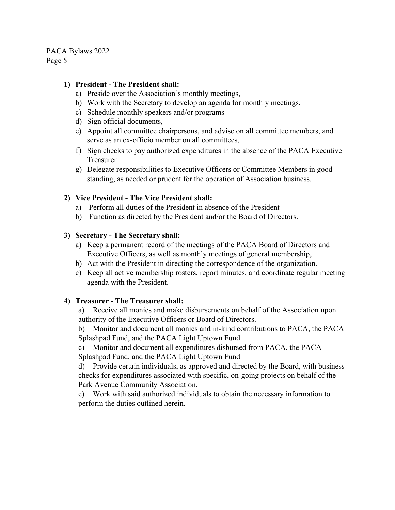#### 1) President - The President shall:

- a) Preside over the Association's monthly meetings,
- b) Work with the Secretary to develop an agenda for monthly meetings,
- c) Schedule monthly speakers and/or programs
- d) Sign official documents,
- e) Appoint all committee chairpersons, and advise on all committee members, and serve as an ex-officio member on all committees,
- f) Sign checks to pay authorized expenditures in the absence of the PACA Executive Treasurer
- g) Delegate responsibilities to Executive Officers or Committee Members in good standing, as needed or prudent for the operation of Association business.

## 2) Vice President - The Vice President shall:

- a) Perform all duties of the President in absence of the President
- b) Function as directed by the President and/or the Board of Directors.

## 3) Secretary - The Secretary shall:

- a) Keep a permanent record of the meetings of the PACA Board of Directors and Executive Officers, as well as monthly meetings of general membership,
- b) Act with the President in directing the correspondence of the organization.
- c) Keep all active membership rosters, report minutes, and coordinate regular meeting agenda with the President.

## 4) Treasurer - The Treasurer shall:

a) Receive all monies and make disbursements on behalf of the Association upon authority of the Executive Officers or Board of Directors.

b) Monitor and document all monies and in-kind contributions to PACA, the PACA Splashpad Fund, and the PACA Light Uptown Fund

c) Monitor and document all expenditures disbursed from PACA, the PACA Splashpad Fund, and the PACA Light Uptown Fund

d) Provide certain individuals, as approved and directed by the Board, with business checks for expenditures associated with specific, on-going projects on behalf of the Park Avenue Community Association.

e) Work with said authorized individuals to obtain the necessary information to perform the duties outlined herein.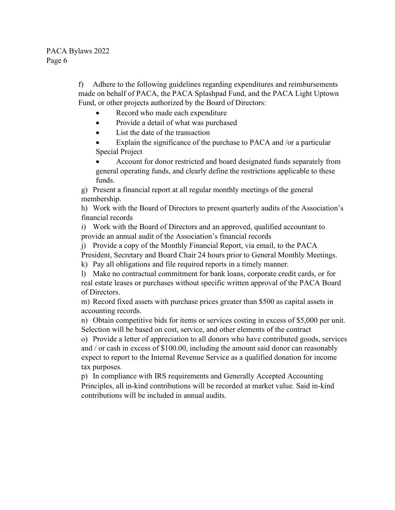f) Adhere to the following guidelines regarding expenditures and reimbursements made on behalf of PACA, the PACA Splashpad Fund, and the PACA Light Uptown Fund, or other projects authorized by the Board of Directors:

- Record who made each expenditure
- Provide a detail of what was purchased
- List the date of the transaction

 Explain the significance of the purchase to PACA and /or a particular Special Project

 Account for donor restricted and board designated funds separately from general operating funds, and clearly define the restrictions applicable to these funds.

g) Present a financial report at all regular monthly meetings of the general membership.

h) Work with the Board of Directors to present quarterly audits of the Association's financial records

i) Work with the Board of Directors and an approved, qualified accountant to provide an annual audit of the Association's financial records

j) Provide a copy of the Monthly Financial Report, via email, to the PACA President, Secretary and Board Chair 24 hours prior to General Monthly Meetings.

k) Pay all obligations and file required reports in a timely manner.

l) Make no contractual commitment for bank loans, corporate credit cards, or for real estate leases or purchases without specific written approval of the PACA Board of Directors.

m) Record fixed assets with purchase prices greater than \$500 as capital assets in accounting records.

n) Obtain competitive bids for items or services costing in excess of \$5,000 per unit. Selection will be based on cost, service, and other elements of the contract

o) Provide a letter of appreciation to all donors who have contributed goods, services and / or cash in excess of \$100.00, including the amount said donor can reasonably expect to report to the Internal Revenue Service as a qualified donation for income tax purposes.

p) In compliance with IRS requirements and Generally Accepted Accounting Principles, all in-kind contributions will be recorded at market value. Said in-kind contributions will be included in annual audits.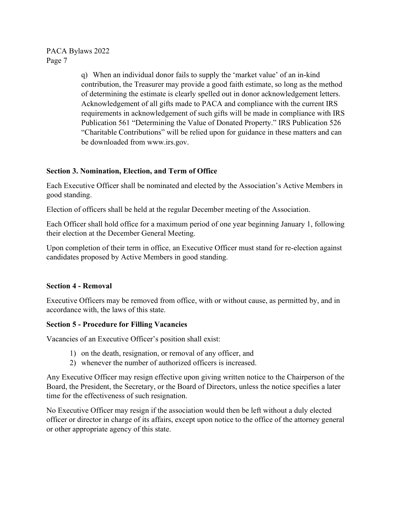> q) When an individual donor fails to supply the 'market value' of an in-kind contribution, the Treasurer may provide a good faith estimate, so long as the method of determining the estimate is clearly spelled out in donor acknowledgement letters. Acknowledgement of all gifts made to PACA and compliance with the current IRS requirements in acknowledgement of such gifts will be made in compliance with IRS Publication 561 "Determining the Value of Donated Property." IRS Publication 526 "Charitable Contributions" will be relied upon for guidance in these matters and can be downloaded from www.irs.gov.

## Section 3. Nomination, Election, and Term of Office

Each Executive Officer shall be nominated and elected by the Association's Active Members in good standing.

Election of officers shall be held at the regular December meeting of the Association.

Each Officer shall hold office for a maximum period of one year beginning January 1, following their election at the December General Meeting.

Upon completion of their term in office, an Executive Officer must stand for re-election against candidates proposed by Active Members in good standing.

## Section 4 - Removal

Executive Officers may be removed from office, with or without cause, as permitted by, and in accordance with, the laws of this state.

## Section 5 - Procedure for Filling Vacancies

Vacancies of an Executive Officer's position shall exist:

- 1) on the death, resignation, or removal of any officer, and
- 2) whenever the number of authorized officers is increased.

Any Executive Officer may resign effective upon giving written notice to the Chairperson of the Board, the President, the Secretary, or the Board of Directors, unless the notice specifies a later time for the effectiveness of such resignation.

No Executive Officer may resign if the association would then be left without a duly elected officer or director in charge of its affairs, except upon notice to the office of the attorney general or other appropriate agency of this state.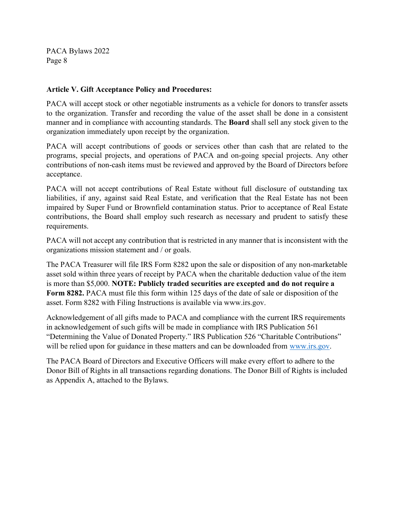#### Article V. Gift Acceptance Policy and Procedures:

PACA will accept stock or other negotiable instruments as a vehicle for donors to transfer assets to the organization. Transfer and recording the value of the asset shall be done in a consistent manner and in compliance with accounting standards. The Board shall sell any stock given to the organization immediately upon receipt by the organization.

PACA will accept contributions of goods or services other than cash that are related to the programs, special projects, and operations of PACA and on-going special projects. Any other contributions of non-cash items must be reviewed and approved by the Board of Directors before acceptance.

PACA will not accept contributions of Real Estate without full disclosure of outstanding tax liabilities, if any, against said Real Estate, and verification that the Real Estate has not been impaired by Super Fund or Brownfield contamination status. Prior to acceptance of Real Estate contributions, the Board shall employ such research as necessary and prudent to satisfy these requirements.

PACA will not accept any contribution that is restricted in any manner that is inconsistent with the organizations mission statement and / or goals.

The PACA Treasurer will file IRS Form 8282 upon the sale or disposition of any non-marketable asset sold within three years of receipt by PACA when the charitable deduction value of the item is more than \$5,000. NOTE: Publicly traded securities are excepted and do not require a Form 8282. PACA must file this form within 125 days of the date of sale or disposition of the asset. Form 8282 with Filing Instructions is available via www.irs.gov.

Acknowledgement of all gifts made to PACA and compliance with the current IRS requirements in acknowledgement of such gifts will be made in compliance with IRS Publication 561 "Determining the Value of Donated Property." IRS Publication 526 "Charitable Contributions" will be relied upon for guidance in these matters and can be downloaded from www.irs.gov.

The PACA Board of Directors and Executive Officers will make every effort to adhere to the Donor Bill of Rights in all transactions regarding donations. The Donor Bill of Rights is included as Appendix A, attached to the Bylaws.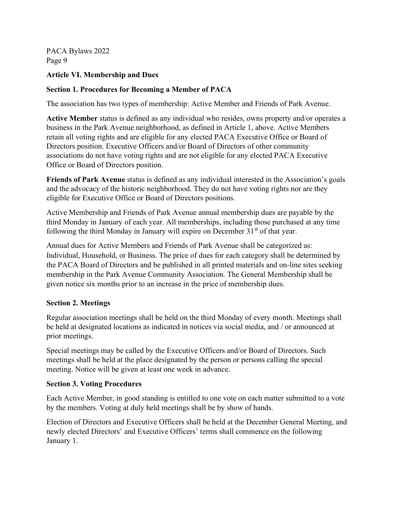## Article VI. Membership and Dues

## Section 1. Procedures for Becoming a Member of PACA

The association has two types of membership: Active Member and Friends of Park Avenue.

Active Member status is defined as any individual who resides, owns property and/or operates a business in the Park Avenue neighborhood, as defined in Article 1, above. Active Members retain all voting rights and are eligible for any elected PACA Executive Office or Board of Directors position. Executive Officers and/or Board of Directors of other community associations do not have voting rights and are not eligible for any elected PACA Executive Office or Board of Directors position.

Friends of Park Avenue status is defined as any individual interested in the Association's goals and the advocacy of the historic neighborhood. They do not have voting rights nor are they eligible for Executive Office or Board of Directors positions.

Active Membership and Friends of Park Avenue annual membership dues are payable by the third Monday in January of each year. All memberships, including those purchased at any time following the third Monday in January will expire on December  $31<sup>st</sup>$  of that year.

Annual dues for Active Members and Friends of Park Avenue shall be categorized as: Individual, Household, or Business. The price of dues for each category shall be determined by the PACA Board of Directors and be published in all printed materials and on-line sites seeking membership in the Park Avenue Community Association. The General Membership shall be given notice six months prior to an increase in the price of membership dues.

## Section 2. Meetings

Regular association meetings shall be held on the third Monday of every month. Meetings shall be held at designated locations as indicated in notices via social media, and / or announced at prior meetings.

Special meetings may be called by the Executive Officers and/or Board of Directors. Such meetings shall be held at the place designated by the person or persons calling the special meeting. Notice will be given at least one week in advance.

## Section 3. Voting Procedures

Each Active Member, in good standing is entitled to one vote on each matter submitted to a vote by the members. Voting at duly held meetings shall be by show of hands.

Election of Directors and Executive Officers shall be held at the December General Meeting, and newly elected Directors' and Executive Officers' terms shall commence on the following January 1.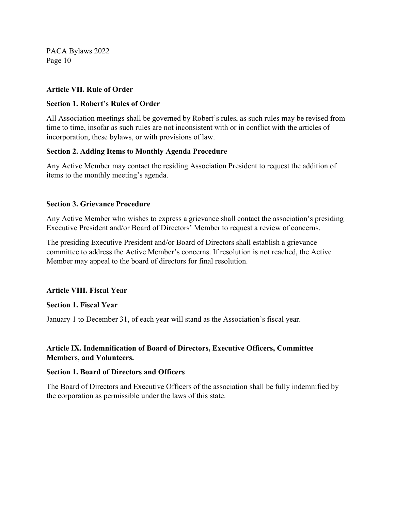#### Article VII. Rule of Order

#### Section 1. Robert's Rules of Order

All Association meetings shall be governed by Robert's rules, as such rules may be revised from time to time, insofar as such rules are not inconsistent with or in conflict with the articles of incorporation, these bylaws, or with provisions of law.

#### Section 2. Adding Items to Monthly Agenda Procedure

Any Active Member may contact the residing Association President to request the addition of items to the monthly meeting's agenda.

#### Section 3. Grievance Procedure

Any Active Member who wishes to express a grievance shall contact the association's presiding Executive President and/or Board of Directors' Member to request a review of concerns.

The presiding Executive President and/or Board of Directors shall establish a grievance committee to address the Active Member's concerns. If resolution is not reached, the Active Member may appeal to the board of directors for final resolution.

#### Article VIII. Fiscal Year

#### Section 1. Fiscal Year

January 1 to December 31, of each year will stand as the Association's fiscal year.

## Article IX. Indemnification of Board of Directors, Executive Officers, Committee Members, and Volunteers.

#### Section 1. Board of Directors and Officers

The Board of Directors and Executive Officers of the association shall be fully indemnified by the corporation as permissible under the laws of this state.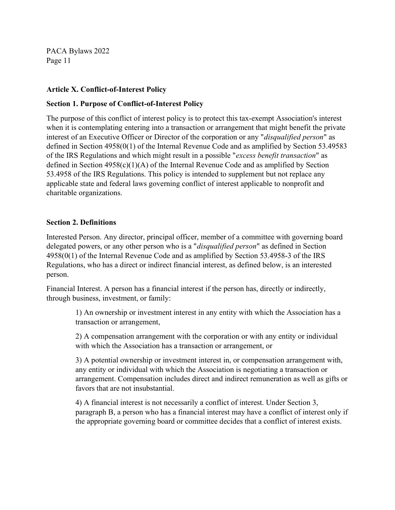#### Article X. Conflict-of-Interest Policy

#### Section 1. Purpose of Conflict-of-Interest Policy

The purpose of this conflict of interest policy is to protect this tax-exempt Association's interest when it is contemplating entering into a transaction or arrangement that might benefit the private interest of an Executive Officer or Director of the corporation or any "disqualified person" as defined in Section 4958(0(1) of the Internal Revenue Code and as amplified by Section 53.49583 of the IRS Regulations and which might result in a possible "excess benefit transaction" as defined in Section 4958(c)(1)(A) of the Internal Revenue Code and as amplified by Section 53.4958 of the IRS Regulations. This policy is intended to supplement but not replace any applicable state and federal laws governing conflict of interest applicable to nonprofit and charitable organizations.

#### Section 2. Definitions

Interested Person. Any director, principal officer, member of a committee with governing board delegated powers, or any other person who is a "*disqualified person*" as defined in Section 4958(0(1) of the Internal Revenue Code and as amplified by Section 53.4958-3 of the IRS Regulations, who has a direct or indirect financial interest, as defined below, is an interested person.

Financial Interest. A person has a financial interest if the person has, directly or indirectly, through business, investment, or family:

> 1) An ownership or investment interest in any entity with which the Association has a transaction or arrangement,

> 2) A compensation arrangement with the corporation or with any entity or individual with which the Association has a transaction or arrangement, or

3) A potential ownership or investment interest in, or compensation arrangement with, any entity or individual with which the Association is negotiating a transaction or arrangement. Compensation includes direct and indirect remuneration as well as gifts or favors that are not insubstantial.

4) A financial interest is not necessarily a conflict of interest. Under Section 3, paragraph B, a person who has a financial interest may have a conflict of interest only if the appropriate governing board or committee decides that a conflict of interest exists.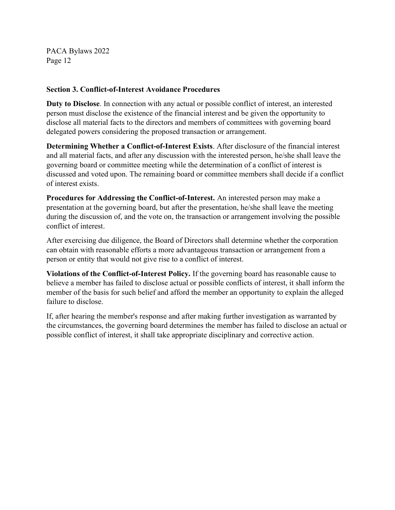#### Section 3. Conflict-of-Interest Avoidance Procedures

Duty to Disclose. In connection with any actual or possible conflict of interest, an interested person must disclose the existence of the financial interest and be given the opportunity to disclose all material facts to the directors and members of committees with governing board delegated powers considering the proposed transaction or arrangement.

Determining Whether a Conflict-of-Interest Exists. After disclosure of the financial interest and all material facts, and after any discussion with the interested person, he/she shall leave the governing board or committee meeting while the determination of a conflict of interest is discussed and voted upon. The remaining board or committee members shall decide if a conflict of interest exists.

Procedures for Addressing the Conflict-of-Interest. An interested person may make a presentation at the governing board, but after the presentation, he/she shall leave the meeting during the discussion of, and the vote on, the transaction or arrangement involving the possible conflict of interest.

After exercising due diligence, the Board of Directors shall determine whether the corporation can obtain with reasonable efforts a more advantageous transaction or arrangement from a person or entity that would not give rise to a conflict of interest.

Violations of the Conflict-of-Interest Policy. If the governing board has reasonable cause to believe a member has failed to disclose actual or possible conflicts of interest, it shall inform the member of the basis for such belief and afford the member an opportunity to explain the alleged failure to disclose.

If, after hearing the member's response and after making further investigation as warranted by the circumstances, the governing board determines the member has failed to disclose an actual or possible conflict of interest, it shall take appropriate disciplinary and corrective action.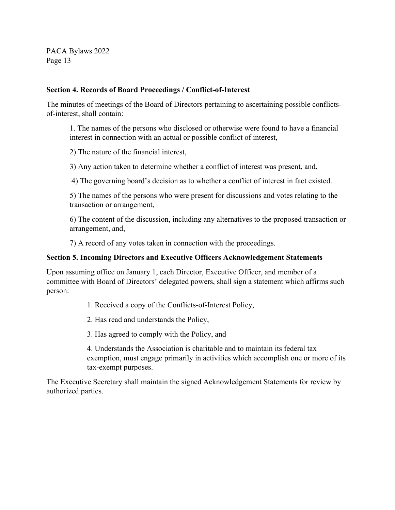#### Section 4. Records of Board Proceedings / Conflict-of-Interest

The minutes of meetings of the Board of Directors pertaining to ascertaining possible conflictsof-interest, shall contain:

1. The names of the persons who disclosed or otherwise were found to have a financial interest in connection with an actual or possible conflict of interest,

2) The nature of the financial interest,

3) Any action taken to determine whether a conflict of interest was present, and,

4) The governing board's decision as to whether a conflict of interest in fact existed.

5) The names of the persons who were present for discussions and votes relating to the transaction or arrangement,

6) The content of the discussion, including any alternatives to the proposed transaction or arrangement, and,

7) A record of any votes taken in connection with the proceedings.

#### Section 5. Incoming Directors and Executive Officers Acknowledgement Statements

Upon assuming office on January 1, each Director, Executive Officer, and member of a committee with Board of Directors' delegated powers, shall sign a statement which affirms such person:

1. Received a copy of the Conflicts-of-Interest Policy,

2. Has read and understands the Policy,

3. Has agreed to comply with the Policy, and

4. Understands the Association is charitable and to maintain its federal tax exemption, must engage primarily in activities which accomplish one or more of its tax-exempt purposes.

The Executive Secretary shall maintain the signed Acknowledgement Statements for review by authorized parties.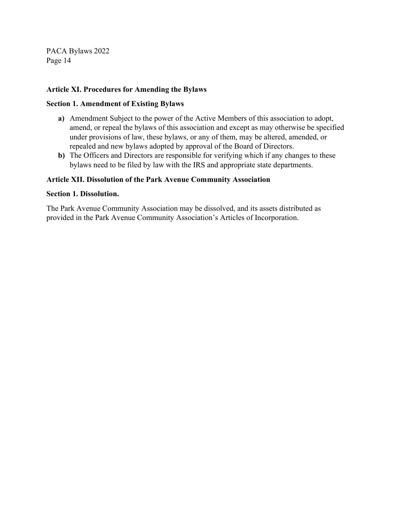#### Article XI. Procedures for Amending the Bylaws

#### Section 1. Amendment of Existing Bylaws

- a) Amendment Subject to the power of the Active Members of this association to adopt, amend, or repeal the bylaws of this association and except as may otherwise be specified under provisions of law, these bylaws, or any of them, may be altered, amended, or repealed and new bylaws adopted by approval of the Board of Directors.
- b) The Officers and Directors are responsible for verifying which if any changes to these bylaws need to be filed by law with the IRS and appropriate state departments.

#### Article XII. Dissolution of the Park Avenue Community Association

#### Section 1. Dissolution.

The Park Avenue Community Association may be dissolved, and its assets distributed as provided in the Park Avenue Community Association's Articles of Incorporation.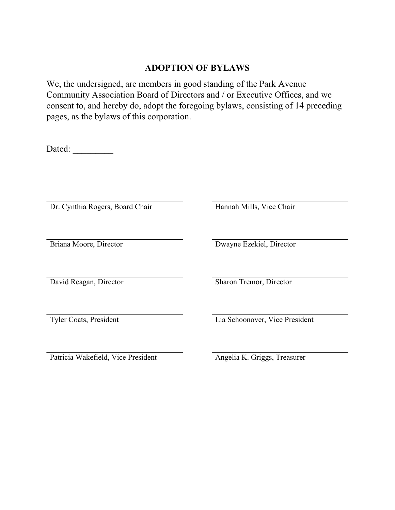# ADOPTION OF BYLAWS

We, the undersigned, are members in good standing of the Park Avenue Community Association Board of Directors and / or Executive Offices, and we consent to, and hereby do, adopt the foregoing bylaws, consisting of 14 preceding pages, as the bylaws of this corporation.

Dated: \_\_\_\_\_\_\_\_\_

Dr. Cynthia Rogers, Board Chair Hannah Mills, Vice Chair

Briana Moore, Director Dwayne Ezekiel, Director

David Reagan, Director Sharon Tremor, Director

Patricia Wakefield, Vice President Angelia K. Griggs, Treasurer

Tyler Coats, President Lia Schoonover, Vice President